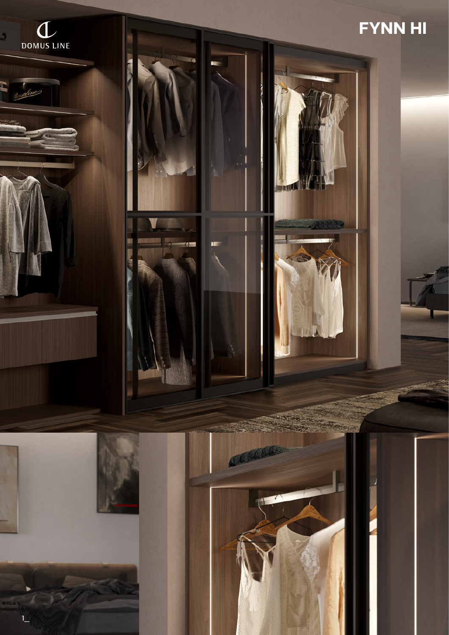